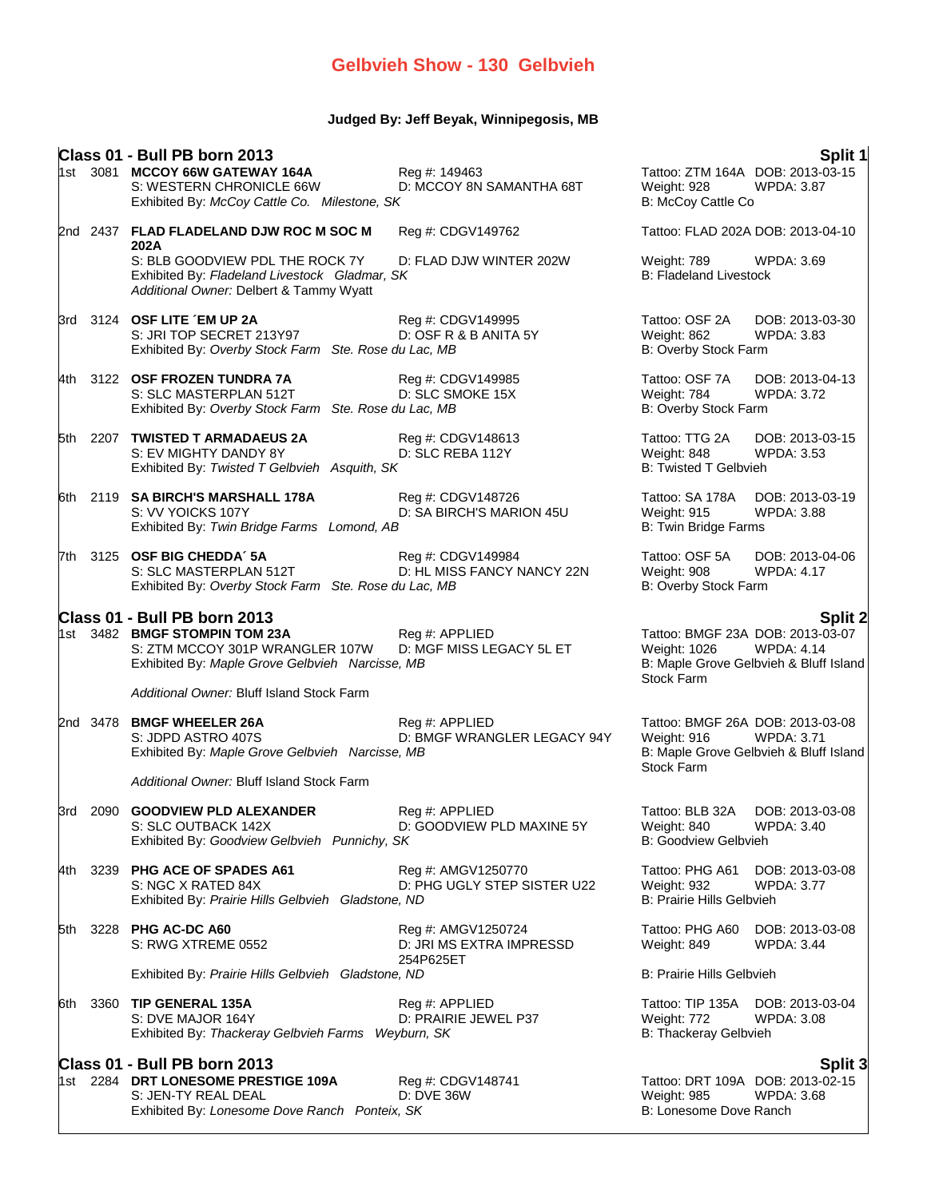## **Judged By: Jeff Beyak, Winnipegosis, MB**

|     |          | Class 01 - Bull PB born 2013<br>1st 3081 MCCOY 66W GATEWAY 164A<br>S: WESTERN CHRONICLE 66W<br>Exhibited By: McCoy Cattle Co. Milestone, SK         | Reg #: 149463<br>D: MCCOY 8N SAMANTHA 68T                   | Split 1<br>Tattoo: ZTM 164A DOB: 2013-03-15<br>Weight: 928<br>WPDA: 3.87<br>B: McCoy Cattle Co                                                  |
|-----|----------|-----------------------------------------------------------------------------------------------------------------------------------------------------|-------------------------------------------------------------|-------------------------------------------------------------------------------------------------------------------------------------------------|
|     |          | 2nd 2437 FLAD FLADELAND DJW ROC M SOC M                                                                                                             | Reg #: CDGV149762                                           | Tattoo: FLAD 202A DOB: 2013-04-10                                                                                                               |
|     |          | 202A<br>S: BLB GOODVIEW PDL THE ROCK 7Y<br>Exhibited By: Fladeland Livestock Gladmar, SK<br>Additional Owner: Delbert & Tammy Wyatt                 | D: FLAD DJW WINTER 202W                                     | Weight: 789<br>WPDA: 3.69<br><b>B: Fladeland Livestock</b>                                                                                      |
|     |          | 3rd 3124 OSF LITE EM UP 2A<br>S: JRI TOP SECRET 213Y97<br>Exhibited By: Overby Stock Farm Ste. Rose du Lac, MB                                      | Reg #: CDGV149995<br>D: OSF R & B ANITA 5Y                  | Tattoo: OSF 2A<br>DOB: 2013-03-30<br>Weight: 862<br>WPDA: 3.83<br>B: Overby Stock Farm                                                          |
|     |          | 4th 3122 OSF FROZEN TUNDRA 7A<br>S: SLC MASTERPLAN 512T<br>Exhibited By: Overby Stock Farm Ste. Rose du Lac, MB                                     | Reg #: CDGV149985<br>D: SLC SMOKE 15X                       | Tattoo: OSF 7A<br>DOB: 2013-04-13<br>Weight: 784<br><b>WPDA: 3.72</b><br>B: Overby Stock Farm                                                   |
|     |          | 5th 2207 TWISTED T ARMADAEUS 2A<br>S: EV MIGHTY DANDY 8Y<br>Exhibited By: Twisted T Gelbvieh Asquith, SK                                            | Reg #: CDGV148613<br>D: SLC REBA 112Y                       | Tattoo: TTG 2A<br>DOB: 2013-03-15<br>Weight: 848<br><b>WPDA: 3.53</b><br><b>B: Twisted T Gelbvieh</b>                                           |
|     |          | 6th 2119 SA BIRCH'S MARSHALL 178A<br>S: VV YOICKS 107Y<br>Exhibited By: Twin Bridge Farms Lomond, AB                                                | Reg #: CDGV148726<br>D: SA BIRCH'S MARION 45U               | Tattoo: SA 178A<br>DOB: 2013-03-19<br>Weight: 915<br>WPDA: 3.88<br><b>B: Twin Bridge Farms</b>                                                  |
|     |          | 7th 3125 OSF BIG CHEDDA' 5A<br>S: SLC MASTERPLAN 512T<br>Exhibited By: Overby Stock Farm Ste. Rose du Lac, MB                                       | Reg #: CDGV149984<br>D: HL MISS FANCY NANCY 22N             | Tattoo: OSF 5A<br>DOB: 2013-04-06<br>Weight: 908<br><b>WPDA: 4.17</b><br>B: Overby Stock Farm                                                   |
|     |          |                                                                                                                                                     |                                                             |                                                                                                                                                 |
|     |          | Class 01 - Bull PB born 2013<br>1st 3482 BMGF STOMPIN TOM 23A<br>S: ZTM MCCOY 301P WRANGLER 107W<br>Exhibited By: Maple Grove Gelbvieh Narcisse, MB | Reg #: APPLIED<br>D: MGF MISS LEGACY 5L ET                  | <b>Split 2</b><br>Tattoo: BMGF 23A DOB: 2013-03-07<br>Weight: 1026<br><b>WPDA: 4.14</b><br>B: Maple Grove Gelbvieh & Bluff Island<br>Stock Farm |
|     |          | Additional Owner: Bluff Island Stock Farm                                                                                                           |                                                             |                                                                                                                                                 |
|     | 2nd 3478 | <b>BMGF WHEELER 26A</b><br>S: JDPD ASTRO 407S<br>Exhibited By: Maple Grove Gelbvieh Narcisse, MB                                                    | Reg #: APPLIED<br>D: BMGF WRANGLER LEGACY 94Y               | Tattoo: BMGF 26A DOB: 2013-03-08<br>Weight: 916<br><b>WPDA: 3.71</b><br>B: Maple Grove Gelbvieh & Bluff Island<br>Stock Farm                    |
|     |          | Additional Owner: Bluff Island Stock Farm                                                                                                           |                                                             |                                                                                                                                                 |
| 3rd |          | 2090 GOODVIEW PLD ALEXANDER<br>S: SLC OUTBACK 142X<br>Exhibited By: Goodview Gelbvieh Punnichy, SK                                                  | Reg #: APPLIED<br>D: GOODVIEW PLD MAXINE 5Y                 | DOB: 2013-03-08<br>Tattoo: BLB 32A<br>Weight: 840<br><b>WPDA: 3.40</b><br><b>B: Goodview Gelbvieh</b>                                           |
|     |          | 4th 3239 PHG ACE OF SPADES A61<br>S: NGC X RATED 84X<br>Exhibited By: Prairie Hills Gelbvieh Gladstone, ND                                          | Reg #: AMGV1250770<br>D: PHG UGLY STEP SISTER U22           | Tattoo: PHG A61<br>DOB: 2013-03-08<br>Weight: 932<br><b>WPDA: 3.77</b><br><b>B: Prairie Hills Gelbvieh</b>                                      |
| 5th |          | 3228 PHG AC-DC A60<br>S: RWG XTREME 0552                                                                                                            | Reg #: AMGV1250724<br>D: JRI MS EXTRA IMPRESSD<br>254P625ET | Tattoo: PHG A60<br>DOB: 2013-03-08<br>Weight: 849<br><b>WPDA: 3.44</b>                                                                          |
|     |          | Exhibited By: Prairie Hills Gelbvieh Gladstone, ND                                                                                                  |                                                             | B: Prairie Hills Gelbvieh                                                                                                                       |
| 6th |          | 3360 TIP GENERAL 135A<br>S: DVE MAJOR 164Y<br>Exhibited By: Thackeray Gelbvieh Farms Weyburn, SK                                                    | Reg #: APPLIED<br>D: PRAIRIE JEWEL P37                      | Tattoo: TIP 135A<br>DOB: 2013-03-04<br>Weight: 772<br><b>WPDA: 3.08</b><br>B: Thackeray Gelbvieh                                                |
|     |          | Class 01 - Bull PB born 2013                                                                                                                        |                                                             | Split 3                                                                                                                                         |
|     |          | 1st 2284 DRT LONESOME PRESTIGE 109A<br>S: JEN-TY REAL DEAL<br>Exhibited By: Lonesome Dove Ranch Ponteix, SK                                         | Reg #: CDGV148741<br><b>D: DVE 36W</b>                      | Tattoo: DRT 109A DOB: 2013-02-15<br><b>WPDA: 3.68</b><br>Weight: 985<br>B: Lonesome Dove Ranch                                                  |
|     |          |                                                                                                                                                     |                                                             |                                                                                                                                                 |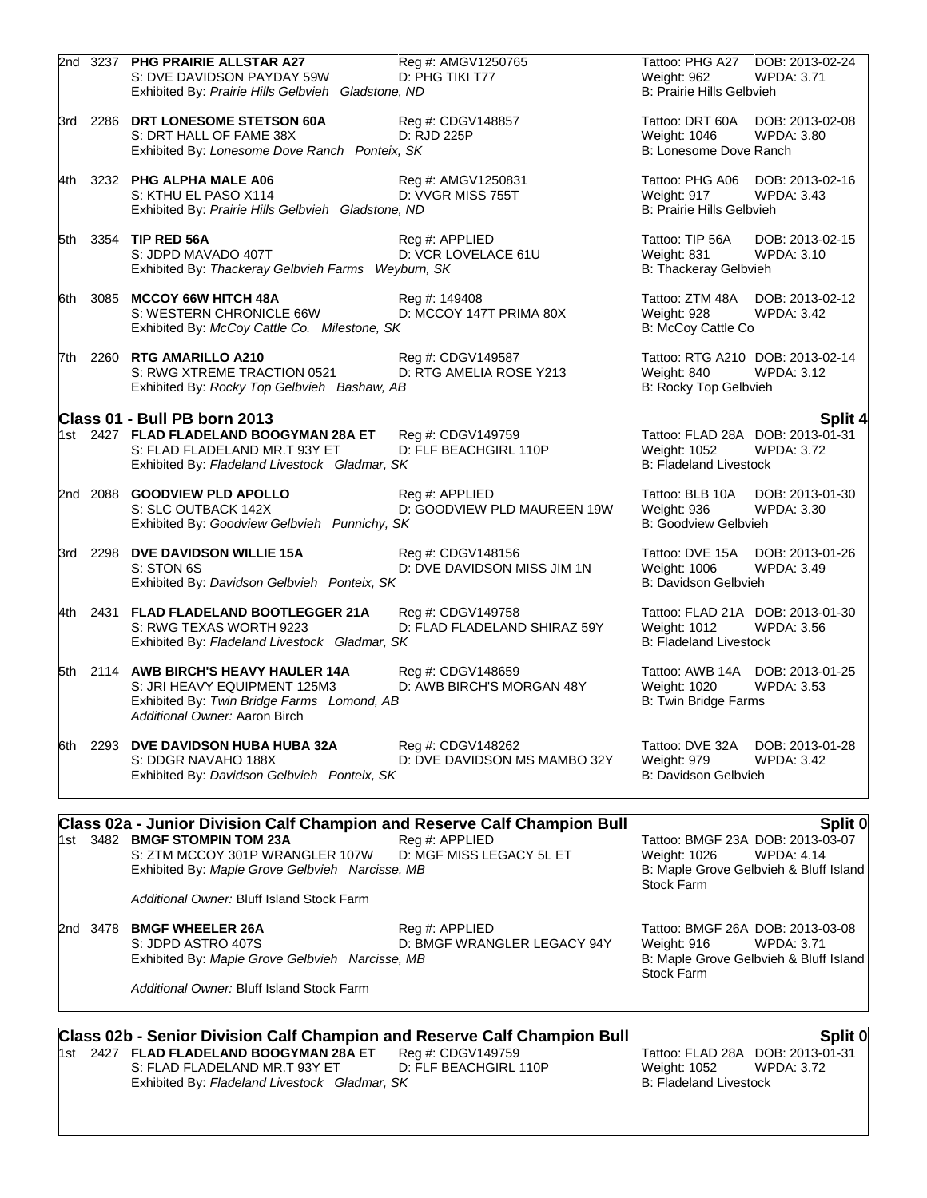|        |          | 2nd 3237 PHG PRAIRIE ALLSTAR A27<br>S: DVE DAVIDSON PAYDAY 59W<br>Exhibited By: Prairie Hills Gelbvieh Gladstone, ND                                                                                   | Reg #: AMGV1250765<br>D: PHG TIKI T77             | Tattoo: PHG A27<br>Weight: 962<br><b>B: Prairie Hills Gelbvieh</b> | DOB: 2013-02-24<br><b>WPDA: 3.71</b>                                                                       |
|--------|----------|--------------------------------------------------------------------------------------------------------------------------------------------------------------------------------------------------------|---------------------------------------------------|--------------------------------------------------------------------|------------------------------------------------------------------------------------------------------------|
| 3rd    |          | 2286 DRT LONESOME STETSON 60A<br>S: DRT HALL OF FAME 38X<br>Exhibited By: Lonesome Dove Ranch Ponteix, SK                                                                                              | Reg #: CDGV148857<br>D: RJD 225P                  | Tattoo: DRT 60A<br>Weight: 1046<br>B: Lonesome Dove Ranch          | DOB: 2013-02-08<br>WPDA: 3.80                                                                              |
| l4th.  |          | 3232 PHG ALPHA MALE A06<br>S: KTHU EL PASO X114<br>Exhibited By: Prairie Hills Gelbvieh Gladstone, ND                                                                                                  | Reg #: AMGV1250831<br>D: VVGR MISS 755T           | Weight: 917<br><b>B: Prairie Hills Gelbvieh</b>                    | Tattoo: PHG A06 DOB: 2013-02-16<br>WPDA: 3.43                                                              |
| 5th l  |          | 3354 TIP RED 56A<br>S: JDPD MAVADO 407T<br>Exhibited By: Thackeray Gelbvieh Farms Weyburn, SK                                                                                                          | Reg #: APPLIED<br>D: VCR LOVELACE 61U             | Tattoo: TIP 56A<br>Weight: 831<br>B: Thackeray Gelbvieh            | DOB: 2013-02-15<br><b>WPDA: 3.10</b>                                                                       |
| 6th    |          | 3085 MCCOY 66W HITCH 48A<br>S: WESTERN CHRONICLE 66W<br>Exhibited By: McCoy Cattle Co. Milestone, SK                                                                                                   | Reg #: 149408<br>D: MCCOY 147T PRIMA 80X          | Tattoo: ZTM 48A<br>Weight: 928<br>B: McCoy Cattle Co               | DOB: 2013-02-12<br><b>WPDA: 3.42</b>                                                                       |
| l7th l |          | 2260 RTG AMARILLO A210<br>S: RWG XTREME TRACTION 0521<br>Exhibited By: Rocky Top Gelbvieh Bashaw, AB                                                                                                   | Reg #: CDGV149587<br>D: RTG AMELIA ROSE Y213      | Weight: 840<br>B: Rocky Top Gelbvieh                               | Tattoo: RTG A210 DOB: 2013-02-14<br><b>WPDA: 3.12</b>                                                      |
|        |          | Class 01 - Bull PB born 2013                                                                                                                                                                           |                                                   |                                                                    | Split 4                                                                                                    |
|        |          | 1st 2427 FLAD FLADELAND BOOGYMAN 28A ET<br>S: FLAD FLADELAND MR.T 93Y ET<br>Exhibited By: Fladeland Livestock Gladmar, SK                                                                              | Reg #: CDGV149759<br>D: FLF BEACHGIRL 110P        | Weight: 1052<br><b>B: Fladeland Livestock</b>                      | Tattoo: FLAD 28A DOB: 2013-01-31<br><b>WPDA: 3.72</b>                                                      |
|        |          | 2nd 2088 GOODVIEW PLD APOLLO<br>S: SLC OUTBACK 142X<br>Exhibited By: Goodview Gelbvieh Punnichy, SK                                                                                                    | Reg #: APPLIED<br>D: GOODVIEW PLD MAUREEN 19W     | Tattoo: BLB 10A<br>Weight: 936<br>B: Goodview Gelbvieh             | DOB: 2013-01-30<br><b>WPDA: 3.30</b>                                                                       |
|        | 3rd 2298 | <b>DVE DAVIDSON WILLIE 15A</b><br>S: STON 6S<br>Exhibited By: Davidson Gelbvieh Ponteix, SK                                                                                                            | Reg #: CDGV148156<br>D: DVE DAVIDSON MISS JIM 1N  | Tattoo: DVE 15A<br>Weight: 1006<br>B: Davidson Gelbvieh            | DOB: 2013-01-26<br><b>WPDA: 3.49</b>                                                                       |
| 4th.   | 2431     | <b>FLAD FLADELAND BOOTLEGGER 21A</b><br>S: RWG TEXAS WORTH 9223<br>Exhibited By: Fladeland Livestock Gladmar, SK                                                                                       | Reg #: CDGV149758<br>D: FLAD FLADELAND SHIRAZ 59Y | Weight: 1012<br><b>B: Fladeland Livestock</b>                      | Tattoo: FLAD 21A DOB: 2013-01-30<br><b>WPDA: 3.56</b>                                                      |
|        |          | 5th 2114 AWB BIRCH'S HEAVY HAULER 14A<br>S: JRI HEAVY EQUIPMENT 125M3<br>Exhibited By: Twin Bridge Farms Lomond, AB<br>Additional Owner: Aaron Birch                                                   | Reg #: CDGV148659<br>D: AWB BIRCH'S MORGAN 48Y    | Weight: 1020<br><b>B: Twin Bridge Farms</b>                        | Tattoo: AWB 14A DOB: 2013-01-25<br><b>WPDA: 3.53</b>                                                       |
| 6th    |          | 2293 DVE DAVIDSON HUBA HUBA 32A<br>S: DDGR NAVAHO 188X<br>Exhibited By: Davidson Gelbvieh Ponteix, SK                                                                                                  | Reg #: CDGV148262<br>D: DVE DAVIDSON MS MAMBO 32Y | Tattoo: DVE 32A<br>Weight: 979<br>B: Davidson Gelbvieh             | DOB: 2013-01-28<br><b>WPDA: 3.42</b>                                                                       |
|        |          |                                                                                                                                                                                                        |                                                   |                                                                    |                                                                                                            |
|        |          | <b>Class 02a - Junior Division Calf Champion and Reserve Calf Champion Bull</b><br>1st 3482 BMGF STOMPIN TOM 23A<br>S: ZTM MCCOY 301P WRANGLER 107W<br>Exhibited By: Maple Grove Gelbvieh Narcisse, MB | Reg #: APPLIED<br>D: MGF MISS LEGACY 5L ET        | Weight: 1026<br><b>Stock Farm</b>                                  | Split 0<br>Tattoo: BMGF 23A DOB: 2013-03-07<br><b>WPDA: 4.14</b><br>B: Maple Grove Gelbvieh & Bluff Island |
|        |          | Additional Owner: Bluff Island Stock Farm                                                                                                                                                              |                                                   |                                                                    |                                                                                                            |
|        | 2nd 3478 | <b>BMGF WHEELER 26A</b><br>S: JDPD ASTRO 407S<br>Exhibited By: Maple Grove Gelbvieh Narcisse, MB                                                                                                       | Reg #: APPLIED<br>D: BMGF WRANGLER LEGACY 94Y     | Weight: 916<br><b>Stock Farm</b>                                   | Tattoo: BMGF 26A DOB: 2013-03-08<br><b>WPDA: 3.71</b><br>B: Maple Grove Gelbvieh & Bluff Island            |
|        |          | Additional Owner: Bluff Island Stock Farm                                                                                                                                                              |                                                   |                                                                    |                                                                                                            |
|        |          | <b>Class 02b - Senior Division Calf Champion and Reserve Calf Champion Bull</b><br>1st 2427 FLAD FLADELAND BOOGYMAN 28A ET<br>S: FLAD FLADELAND MR.T 93Y ET                                            | Reg #: CDGV149759<br>D: FLF BEACHGIRL 110P        | Tattoo: FLAD 28A<br>Weight: 1052                                   | Split 0<br>DOB: 2013-01-31<br><b>WPDA: 3.72</b>                                                            |

Exhibited By: *Fladeland Livestock Gladmar, SK* B: Fladeland Livestock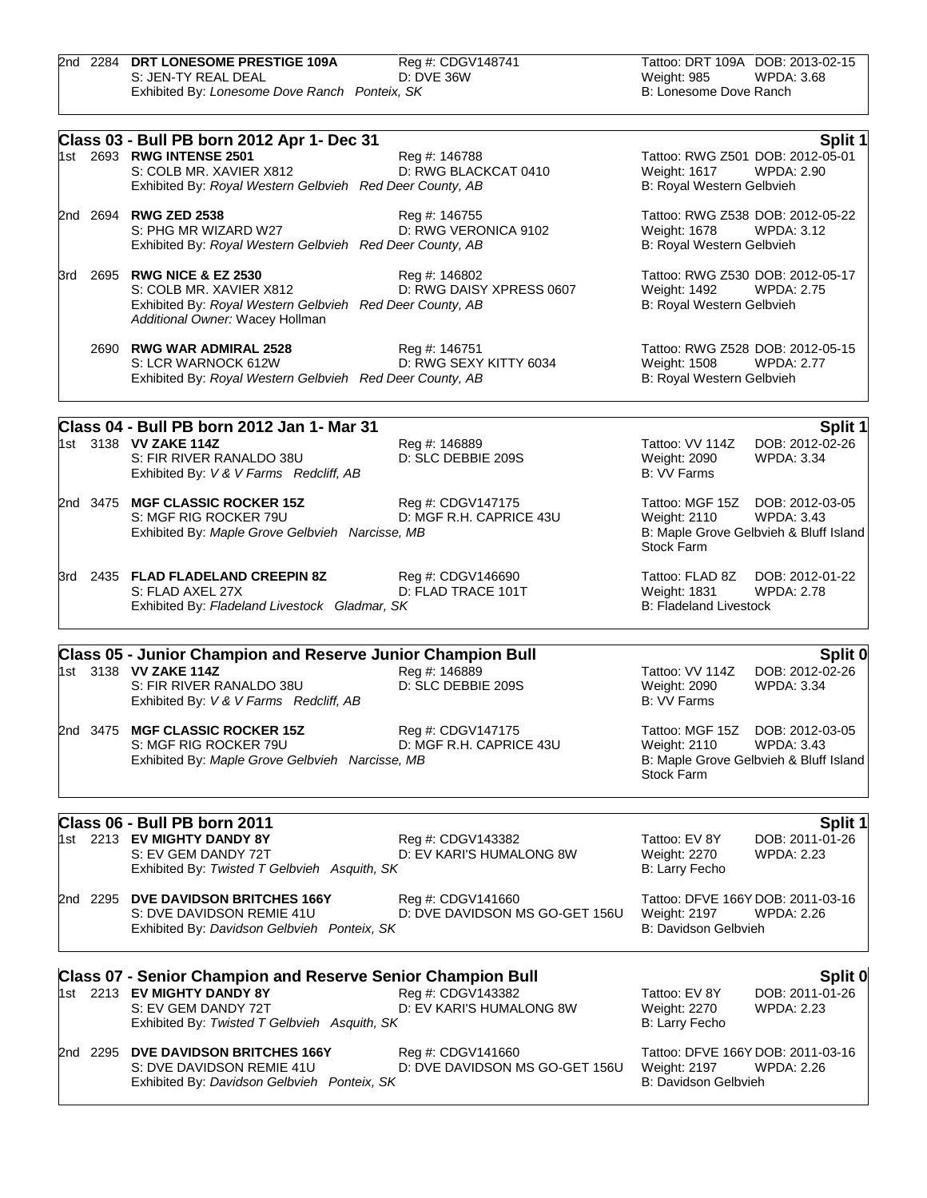|  | 2nd 2284 DRT LONESOME PRESTIGE 109A           | Reg #: CDGV148741 | Tattoo: DRT 109A DOB: 2013-02-15 |            |
|--|-----------------------------------------------|-------------------|----------------------------------|------------|
|  | S: JEN-TY REAL DEAL                           | D: DVE 36W        | Weight: 985                      | WPDA: 3.68 |
|  | Exhibited By: Lonesome Dove Ranch Ponteix, SK |                   | B: Lonesome Dove Ranch           |            |

|          | Class 03 - Bull PB born 2012 Apr 1- Dec 31                                                                                                                                                         | Split 1                                                                                                                      |
|----------|----------------------------------------------------------------------------------------------------------------------------------------------------------------------------------------------------|------------------------------------------------------------------------------------------------------------------------------|
|          | 1st 2693 RWG INTENSE 2501<br>Reg #: 146788<br>S: COLB MR. XAVIER X812<br>D: RWG BLACKCAT 0410<br>Exhibited By: Royal Western Gelbvieh Red Deer County, AB                                          | Tattoo: RWG Z501 DOB: 2012-05-01<br>Weight: 1617<br><b>WPDA: 2.90</b><br>B: Royal Western Gelbvieh                           |
|          | 2nd 2694 RWG ZED 2538<br>Reg #: 146755<br>D: RWG VERONICA 9102<br>S: PHG MR WIZARD W27<br>Exhibited By: Royal Western Gelbvieh Red Deer County, AB                                                 | Tattoo: RWG Z538 DOB: 2012-05-22<br><b>WPDA: 3.12</b><br>Weight: 1678<br>B: Royal Western Gelbvieh                           |
|          | 3rd 2695 RWG NICE & EZ 2530<br>Reg #: 146802<br>D: RWG DAISY XPRESS 0607<br>S: COLB MR. XAVIER X812<br>Exhibited By: Royal Western Gelbvieh Red Deer County, AB<br>Additional Owner: Wacey Hollman | Tattoo: RWG Z530 DOB: 2012-05-17<br><b>WPDA: 2.75</b><br>Weight: 1492<br>B: Royal Western Gelbvieh                           |
|          | 2690 RWG WAR ADMIRAL 2528<br>Reg #: 146751<br>S: LCR WARNOCK 612W<br>D: RWG SEXY KITTY 6034<br>Exhibited By: Royal Western Gelbvieh Red Deer County, AB                                            | Tattoo: RWG Z528 DOB: 2012-05-15<br>Weight: 1508<br><b>WPDA: 2.77</b><br>B: Royal Western Gelbvieh                           |
|          | Class 04 - Bull PB born 2012 Jan 1- Mar 31                                                                                                                                                         | Split 1                                                                                                                      |
|          | 1st 3138 VV ZAKE 114Z<br>Reg #: 146889<br>D: SLC DEBBIE 209S<br>S: FIR RIVER RANALDO 38U<br>Exhibited By: V & V Farms Redcliff, AB                                                                 | Tattoo: VV 114Z<br>DOB: 2012-02-26<br>Weight: 2090<br><b>WPDA: 3.34</b><br>B: VV Farms                                       |
|          | 2nd 3475 MGF CLASSIC ROCKER 15Z<br>Reg #: CDGV147175<br>D: MGF R.H. CAPRICE 43U<br>S: MGF RIG ROCKER 79U<br>Exhibited By: Maple Grove Gelbvieh Narcisse, MB                                        | Tattoo: MGF 15Z DOB: 2012-03-05<br>Weight: 2110<br><b>WPDA: 3.43</b><br>B: Maple Grove Gelbvieh & Bluff Island<br>Stock Farm |
|          | 3rd 2435 FLAD FLADELAND CREEPIN 8Z<br>Reg #: CDGV146690<br>D: FLAD TRACE 101T<br>S: FLAD AXEL 27X<br>Exhibited By: Fladeland Livestock Gladmar, SK                                                 | Tattoo: FLAD 8Z<br>DOB: 2012-01-22<br>Weight: 1831<br><b>WPDA: 2.78</b><br><b>B: Fladeland Livestock</b>                     |
|          | <b>Class 05 - Junior Champion and Reserve Junior Champion Bull</b>                                                                                                                                 | Split 0                                                                                                                      |
|          | 1st 3138 VV ZAKE 114Z<br>Reg #: 146889<br>D: SLC DEBBIE 209S<br>S: FIR RIVER RANALDO 38U<br>Exhibited By: V & V Farms Redcliff, AB                                                                 | Tattoo: VV 114Z<br>DOB: 2012-02-26<br>Weight: 2090<br><b>WPDA: 3.34</b><br>B: VV Farms                                       |
|          | 2nd 3475 MGF CLASSIC ROCKER 15Z<br>Reg #: CDGV147175<br>S: MGF RIG ROCKER 79U<br>D: MGF R.H. CAPRICE 43U<br>Exhibited By: Maple Grove Gelbvieh Narcisse, MB                                        | Tattoo: MGF 15Z DOB: 2012-03-05<br>Weight: 2110<br><b>WPDA: 3.43</b><br>B: Maple Grove Gelbvieh & Bluff Island<br>Stock Farm |
|          | Class 06 - Bull PB born 2011                                                                                                                                                                       | Split 1                                                                                                                      |
|          | 1st 2213 EV MIGHTY DANDY 8Y<br>Reg #: CDGV143382<br>D: EV KARI'S HUMALONG 8W<br>S: EV GEM DANDY 72T<br>Exhibited By: Twisted T Gelbvieh Asquith, SK                                                | DOB: 2011-01-26<br>Tattoo: EV 8Y<br><b>WPDA: 2.23</b><br>Weight: 2270<br>B: Larry Fecho                                      |
|          | 2nd 2295 DVE DAVIDSON BRITCHES 166Y<br>Reg #: CDGV141660<br>D: DVE DAVIDSON MS GO-GET 156U<br>S: DVE DAVIDSON REMIE 41U<br>Exhibited By: Davidson Gelbvieh Ponteix, SK                             | Tattoo: DFVE 166Y DOB: 2011-03-16<br>Weight: 2197<br>WPDA: 2.26<br><b>B: Davidson Gelbvieh</b>                               |
|          | <b>Class 07 - Senior Champion and Reserve Senior Champion Bull</b>                                                                                                                                 | Split 0                                                                                                                      |
|          | 1st 2213 EV MIGHTY DANDY 8Y<br>Reg #: CDGV143382<br>S: EV GEM DANDY 72T<br>D: EV KARI'S HUMALONG 8W<br>Exhibited By: Twisted T Gelbvieh Asquith, SK                                                | Tattoo: EV 8Y<br>DOB: 2011-01-26<br>Weight: 2270<br><b>WPDA: 2.23</b><br>B: Larry Fecho                                      |
| 2nd 2295 | DVE DAVIDSON BRITCHES 166Y<br>Reg #: CDGV141660<br>S: DVE DAVIDSON REMIE 41U<br>D: DVE DAVIDSON MS GO-GET 156U<br>Exhibited By: Davidson Gelbvieh Ponteix, SK                                      | Tattoo: DFVE 166Y DOB: 2011-03-16<br>Weight: 2197<br>WPDA: 2.26<br>B: Davidson Gelbvieh                                      |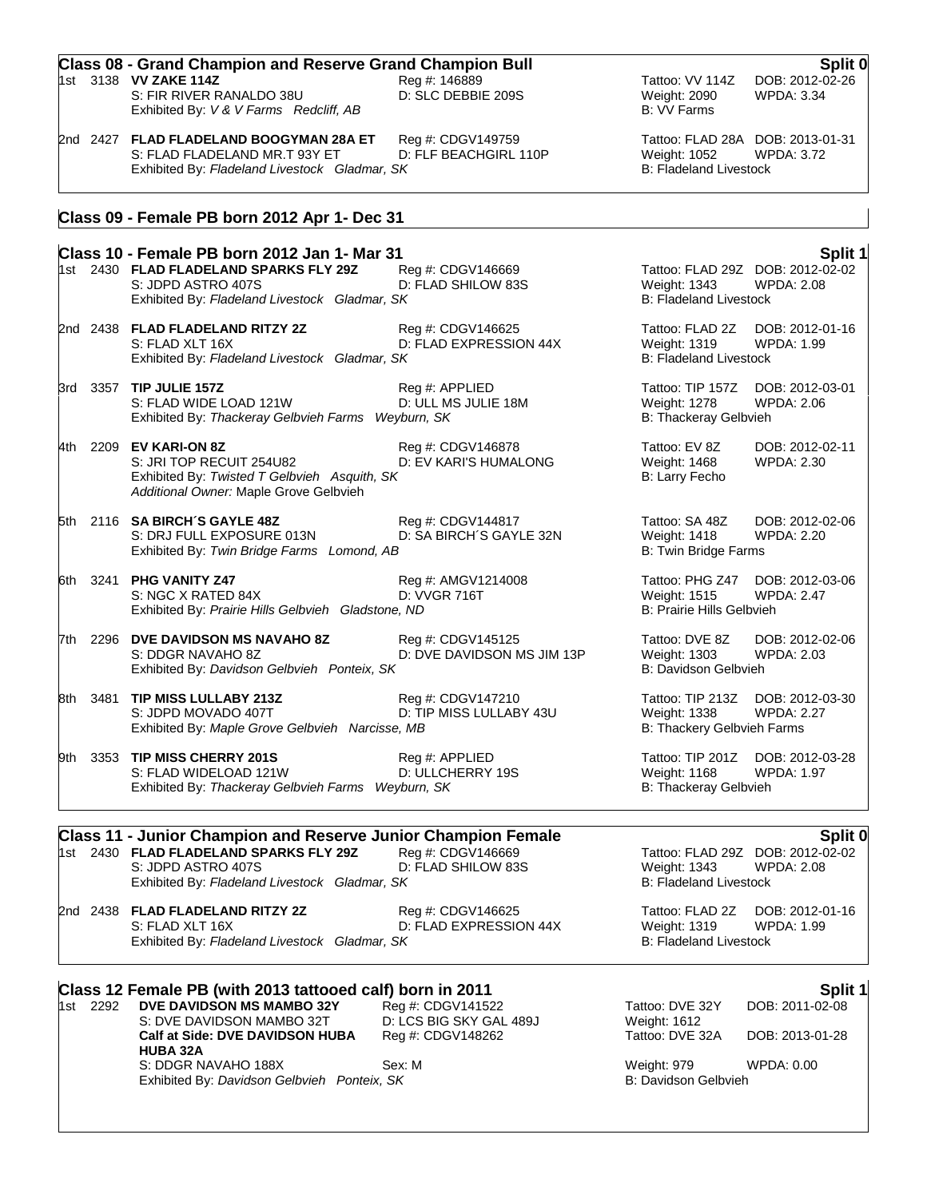| <b>Class 08 - Grand Champion and Reserve Grand Champion Bull</b><br>Split 0 |                                                                                                                           |                                                                                                 |                                                |                                                       |
|-----------------------------------------------------------------------------|---------------------------------------------------------------------------------------------------------------------------|-------------------------------------------------------------------------------------------------|------------------------------------------------|-------------------------------------------------------|
|                                                                             | 1st 3138 <b>VV ZAKE 114Z</b><br>S: FIR RIVER RANALDO 38U<br>Exhibited By: V & V Farms Redcliff, AB                        | Reg #: 146889<br>D: SLC DEBBIE 209S                                                             | Tattoo: VV 114Z<br>Weight: 2090<br>B: VV Farms | DOB: 2012-02-26<br>WPDA: 3.34                         |
|                                                                             | 2nd 2427 FLAD FLADELAND BOOGYMAN 28A ET<br>S: FLAD FLADELAND MR.T 93Y ET<br>Exhibited By: Fladeland Livestock Gladmar, SK | Reg #: CDGV149759<br>D: FLF BEACHGIRL 110P                                                      | Weight: 1052<br><b>B: Fladeland Livestock</b>  | Tattoo: FLAD 28A DOB: 2013-01-31<br><b>WPDA: 3.72</b> |
|                                                                             | Class 09 - Female PB born 2012 Apr 1- Dec 31                                                                              |                                                                                                 |                                                |                                                       |
|                                                                             | Class 10 - Female PB born 2012 Jan 1- Mar 31                                                                              |                                                                                                 |                                                | Split 1                                               |
|                                                                             | 1st 2430 FLAD FLADELAND SPARKS FLY 29Z<br>S: JDPD ASTRO 407S<br>Exhibited By: Fladeland Livestock Gladmar, SK             | Reg #: CDGV146669<br>D: FLAD SHILOW 83S                                                         | Weight: 1343<br><b>B: Fladeland Livestock</b>  | Tattoo: FLAD 29Z DOB: 2012-02-02<br><b>WPDA: 2.08</b> |
|                                                                             | 2nd 2438 FLAD FLADELAND RITZY 2Z<br>S: FLAD XLT 16X<br>Exhibited By: Fladeland Livestock Gladmar, SK                      | Reg #: CDGV146625<br>D: FLAD EXPRESSION 44X                                                     | Weight: 1319<br><b>B: Fladeland Livestock</b>  | Tattoo: FLAD 2Z DOB: 2012-01-16<br>WPDA: 1.99         |
|                                                                             | 3rd 3357 TIP JULIE 157Z                                                                                                   | Reg #: APPLIED<br>$P_1$ , $P_2$ , $P_3$ , $P_4$ , $P_5$ , $P_6$ , $P_7$ , $P_8$ , $P_9$ , $P_9$ | Tattoo: TIP 157Z                               | DOB: 2012-03-01<br>$\cdots$                           |

S: FLAD WIDE LOAD 121W D: ULL MS JULIE 18M Weight: 1278 WPDA: 2.06 Exhibited By: Thackeray Gelbvieh Farms Weyburn, SK **Billion Communist Communist Communist** B: Thackeray Gelbvieh

- 4th 2209 **EV KARI-ON 8Z** Reg #: CDGV146878 Tattoo: EV 8Z DOB: 2012-02-11 S: JRI TOP RECUIT 254U82 D: EV KARI'S HUMALONG Weight: 1468 WPDA: 2.30<br>
Exhibited By: Twisted T Gelbvieh Asquith, SK B: Larry Fecho Exhibited By: Twisted T Gelbvieh Asquith, SK *Additional Owner:* Maple Grove Gelbvieh
- 5th 2116 **SA BIRCH´S GAYLE 48Z Reg #: CDGV144817** Tattoo: SA 48Z DOB: 2012-02-06<br>S: DRJ FULL EXPOSURE 013N D: SA BIRCH´S GAYLE 32N Weight: 1418 WPDA: 2.20 S: DRJ FULL EXPOSURE 013N D: SA BIRCH'S GAYLE 32N Weight: 1418 Exhibited By: *Twin Bridge Farms Lomond, AB* B: Twin Bridge Farms **B: Twin Bridge Farms**
- 6th 3241 **PHG VANITY Z47** Reg #: AMGV1214008 Tattoo: PHG Z47 DOB: 2012-03-06 S: NGC X RATED 84X D: VVGR 716T Weight: 1515 WPDA: 2.47 Exhibited By: Prairie Hills Gelbvieh Gladstone, ND **Bills Gelbvieh Gladstone, ND** B: Prairie Hills Gelbvieh

7th 2296 **DVE DAVIDSON MS NAVAHO 8Z** Reg #: CDGV145125 Tattoo: DVE 8Z DOB: 2012-02-06 S: DDGR NAVAHO 8Z **DISPENSION DISPENSION MS JIM 13P** Weight: 1303 WPDA: 2.03 Exhibited By: *Davidson Gelbvieh Ponteix, SK* B: Davidson Gelbvieh B: Davidson Gelbvieh

- 8th 3481 **TIP MISS LULLABY 213Z** Reg #: CDGV147210 Tattoo: TIP 213Z DOB: 2012-03-30 S: JDPD MOVADO 407T **D: TIP MISS LULLABY 43U** Weight: 1338 WPDA: 2.27 Exhibited By: *Maple Grove Gelbvieh Narcisse, MB* B: Thackery Gelbvieh Farms
- 9th 3353 **TIP MISS CHERRY 201S** Reg #: APPLIED Tattoo: TIP 201Z DOB: 2012-03-28<br> S: FLAD WIDELOAD 121W D: ULLCHERRY 19S Weight: 1168 WPDA: 1.97 S: FLAD WIDELOAD 121W D: ULLCHERRY 19S Weight: 1168 Exhibited By: *Thackeray Gelbvieh Farms Weyburn, SK* B: Thackeray Gelbvieh

# **Class 11 - Junior Champion and Reserve Junior Champion Female Split 0**

1st 2430 **FLAD FLADELAND SPARKS FLY 29Z** Reg #: CDGV146669 Tattoo: FLAD 29Z DOB: 2012-0<br>S: JDPD ASTRO 407S D: FLAD SHILOW 83S Weight: 1343 WPDA: 2.08 Exhibited By: Fladeland Livestock Gladmar, SK B: Fladeland Livestock Gladmar, SK

D: FLAD SHILOW 83S

S: FLAD XLT 16X **D: FLAD EXPRESSION 44X** Weight: 1319 WPDA: 1.99 Exhibited By: Fladeland Livestock Gladmar, SK B: Fladeland Livestock Gladmar, SK

2nd 2438 **FLAD FLADELAND RITZY 2Z** Reg #: CDGV146625 Tattoo: FLAD 2Z DOB: 2012-01-16

### **Class 12 Female PB (with 2013 tattooed calf) born in 2011 Split 1** 1st 2292 **DVE DAVIDSON MS MAMBO 32Y** Reg #: CDGV141522 Tattoo: DVE 32Y DOB: 2011-02-08 S: DVE DAVIDSON MAMBO 32T D: LCS BIG SKY GAL 489J Weight: 1612 **Calf at Side: DVE DAVIDSON HUBA HUBA 32A** Reg #: CDGV148262 Tattoo: DVE 32A DOB: 2013-01-28 S: DDGR NAVAHO 188X<br>
Sex: M<br>
Exhibited By: Davidson Gelbvieh Ponteix, SK<br>
Exhibited By: Davidson Gelbvieh Ponteix, SK Exhibited By: Davidson Gelbvieh Ponteix, SK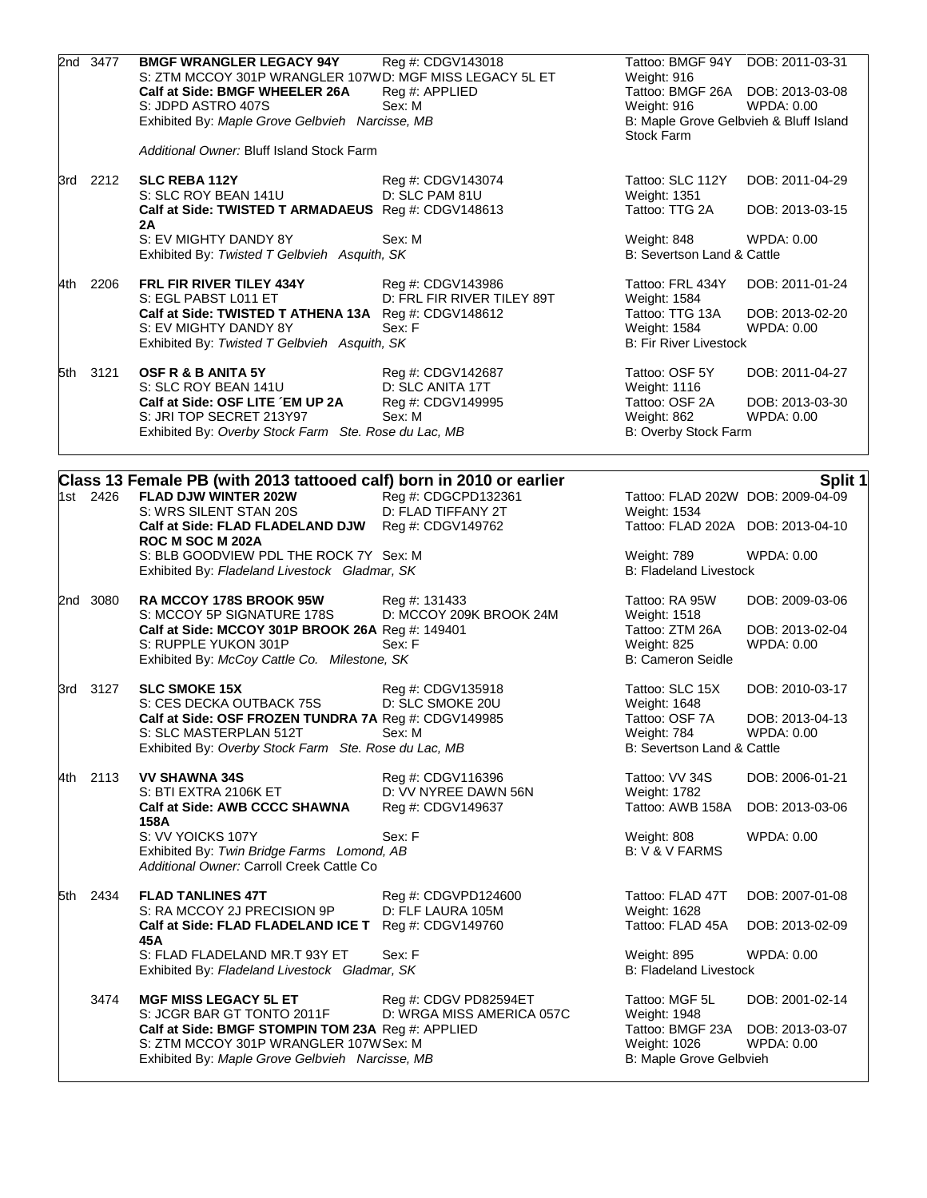| 2nd 3477 | <b>BMGF WRANGLER LEGACY 94Y</b><br>S: ZTM MCCOY 301P WRANGLER 107WD: MGF MISS LEGACY 5L ET<br>Calf at Side: BMGF WHEELER 26A<br>S: JDPD ASTRO 407S<br>Exhibited By: Maple Grove Gelbvieh Narcisse, MB<br>Additional Owner: Bluff Island Stock Farm | Reg #: CDGV143018<br>Reg #: APPLIED<br>Sex: M                            | Tattoo: BMGF 94Y DOB: 2011-03-31<br>Weight: 916<br>Tattoo: BMGF 26A DOB: 2013-03-08<br>Weight: 916<br>B: Maple Grove Gelbvieh & Bluff Island<br><b>Stock Farm</b> | WPDA: 0.00                                       |
|----------|----------------------------------------------------------------------------------------------------------------------------------------------------------------------------------------------------------------------------------------------------|--------------------------------------------------------------------------|-------------------------------------------------------------------------------------------------------------------------------------------------------------------|--------------------------------------------------|
| 3rd 2212 | <b>SLC REBA 112Y</b><br>S: SLC ROY BEAN 141U<br>Calf at Side: TWISTED T ARMADAEUS Reg #: CDGV148613                                                                                                                                                | Reg #: CDGV143074<br>D: SLC PAM 81U                                      | Tattoo: SLC 112Y<br>Weight: 1351<br>Tattoo: TTG 2A                                                                                                                | DOB: 2011-04-29<br>DOB: 2013-03-15               |
|          | 2Α<br>S: EV MIGHTY DANDY 8Y<br>Exhibited By: Twisted T Gelbvieh Asquith, SK                                                                                                                                                                        | Sex: M                                                                   | Weight: 848<br>B: Severtson Land & Cattle                                                                                                                         | WPDA: 0.00                                       |
| 4th 2206 | <b>FRL FIR RIVER TILEY 434Y</b><br>S: EGL PABST L011 ET<br>Calf at Side: TWISTED T ATHENA 13A Reg #: CDGV148612<br>S: EV MIGHTY DANDY 8Y<br>Exhibited By: Twisted T Gelbvieh Asquith, SK                                                           | Reg #: CDGV143986<br>D: FRL FIR RIVER TILEY 89T<br>Sex: F                | Tattoo: FRL 434Y<br>Weight: 1584<br>Tattoo: TTG 13A<br>Weight: 1584<br><b>B: Fir River Livestock</b>                                                              | DOB: 2011-01-24<br>DOB: 2013-02-20<br>WPDA: 0.00 |
| 5th 3121 | OSF R & B ANITA 5Y<br>S: SLC ROY BEAN 141U<br>Calf at Side: OSF LITE 'EM UP 2A<br>S: JRI TOP SECRET 213Y97<br>Exhibited By: Overby Stock Farm Ste. Rose du Lac, MB                                                                                 | Reg #: CDGV142687<br>D: SLC ANITA 17T<br>Reg #: CDGV149995<br>Sex: M     | Tattoo: OSF 5Y<br>Weight: 1116<br>Tattoo: OSF 2A<br>Weight: 862<br>B: Overby Stock Farm                                                                           | DOB: 2011-04-27<br>DOB: 2013-03-30<br>WPDA: 0.00 |
| 1st 2426 | Class 13 Female PB (with 2013 tattooed calf) born in 2010 or earlier<br>FLAD DJW WINTER 202W<br>S: WRS SILENT STAN 20S<br>Calf at Side: FLAD FLADELAND DJW Reg #: CDGV149762<br>ROC M SOC M 202A                                                   | Reg #: CDGCPD132361<br>D: FLAD TIFFANY 2T                                | Tattoo: FLAD 202W DOB: 2009-04-09<br>Weight: 1534<br>Tattoo: FLAD 202A DOB: 2013-04-10                                                                            | Split 1                                          |
|          | S: BLB GOODVIEW PDL THE ROCK 7Y Sex: M<br>Exhibited By: Fladeland Livestock Gladmar, SK                                                                                                                                                            |                                                                          | Weight: 789<br><b>B: Fladeland Livestock</b>                                                                                                                      | WPDA: 0.00                                       |
| 2nd 3080 | RA MCCOY 178S BROOK 95W<br>S: MCCOY 5P SIGNATURE 178S<br>Calf at Side: MCCOY 301P BROOK 26A Reg #: 149401<br>S: RUPPLE YUKON 301P<br>Exhibited By: McCoy Cattle Co. Milestone, SK                                                                  | Reg #: 131433<br>D: MCCOY 209K BROOK 24M<br>Sex: F                       | Tattoo: RA 95W<br>Weight: 1518<br>Tattoo: ZTM 26A<br><b>Weight: 825</b><br>B: Cameron Seidle                                                                      | DOB: 2009-03-06<br>DOB: 2013-02-04<br>WPDA: 0.00 |
| 3rd 3127 | <b>SLC SMOKE 15X</b><br>S: CES DECKA OUTBACK 75S<br>Calf at Side: OSF FROZEN TUNDRA 7A Reg #: CDGV149985<br>S: SLC MASTERPLAN 512T<br>Exhibited By: Overby Stock Farm Ste. Rose du Lac, MB                                                         | Reg #: CDGV135918<br>D: SLC SMOKE 20U<br>Sex: M                          | Tattoo: SLC 15X<br>Weight: 1648<br>Tattoo: OSF 7A<br>Weight: 784<br>B: Severtson Land & Cattle                                                                    | DOB: 2010-03-17<br>DOB: 2013-04-13<br>WPDA: 0.00 |
| 4th 2113 | <b>VV SHAWNA 34S</b><br>S: BTI EXTRA 2106K ET<br>Calf at Side: AWB CCCC SHAWNA<br>158A<br>S: VV YOICKS 107Y<br>Exhibited By: Twin Bridge Farms Lomond, AB<br>Additional Owner: Carroll Creek Cattle Co                                             | Reg #: CDGV116396<br>D: VV NYREE DAWN 56N<br>Reg #: CDGV149637<br>Sex: F | Tattoo: VV 34S<br>Weight: 1782<br>Tattoo: AWB 158A<br>Weight: 808<br>B: V & V FARMS                                                                               | DOB: 2006-01-21<br>DOB: 2013-03-06<br>WPDA: 0.00 |
| 5th 2434 | <b>FLAD TANLINES 47T</b><br>S: RA MCCOY 2J PRECISION 9P<br>Calf at Side: FLAD FLADELAND ICE T Reg #: CDGV149760<br>45 A<br>S: FLAD FLADELAND MR.T 93Y ET<br>Exhibited By: Fladeland Livestock Gladmar, SK                                          | Reg #: CDGVPD124600<br>D: FLF LAURA 105M<br>Sex: F                       | Tattoo: FLAD 47T<br>Weight: 1628<br>Tattoo: FLAD 45A<br>Weight: 895<br><b>B: Fladeland Livestock</b>                                                              | DOB: 2007-01-08<br>DOB: 2013-02-09<br>WPDA: 0.00 |
| 3474     | <b>MGF MISS LEGACY 5L ET</b><br>S: JCGR BAR GT TONTO 2011F<br>Calf at Side: BMGF STOMPIN TOM 23A Reg #: APPLIED<br>S: ZTM MCCOY 301P WRANGLER 107WSex: M<br>Exhibited By: Maple Grove Gelbvieh Narcisse, MB                                        | Reg #: CDGV PD82594ET<br>D: WRGA MISS AMERICA 057C                       | Tattoo: MGF 5L<br>Weight: 1948<br>Tattoo: BMGF 23A<br>Weight: 1026<br>B: Maple Grove Gelbvieh                                                                     | DOB: 2001-02-14<br>DOB: 2013-03-07<br>WPDA: 0.00 |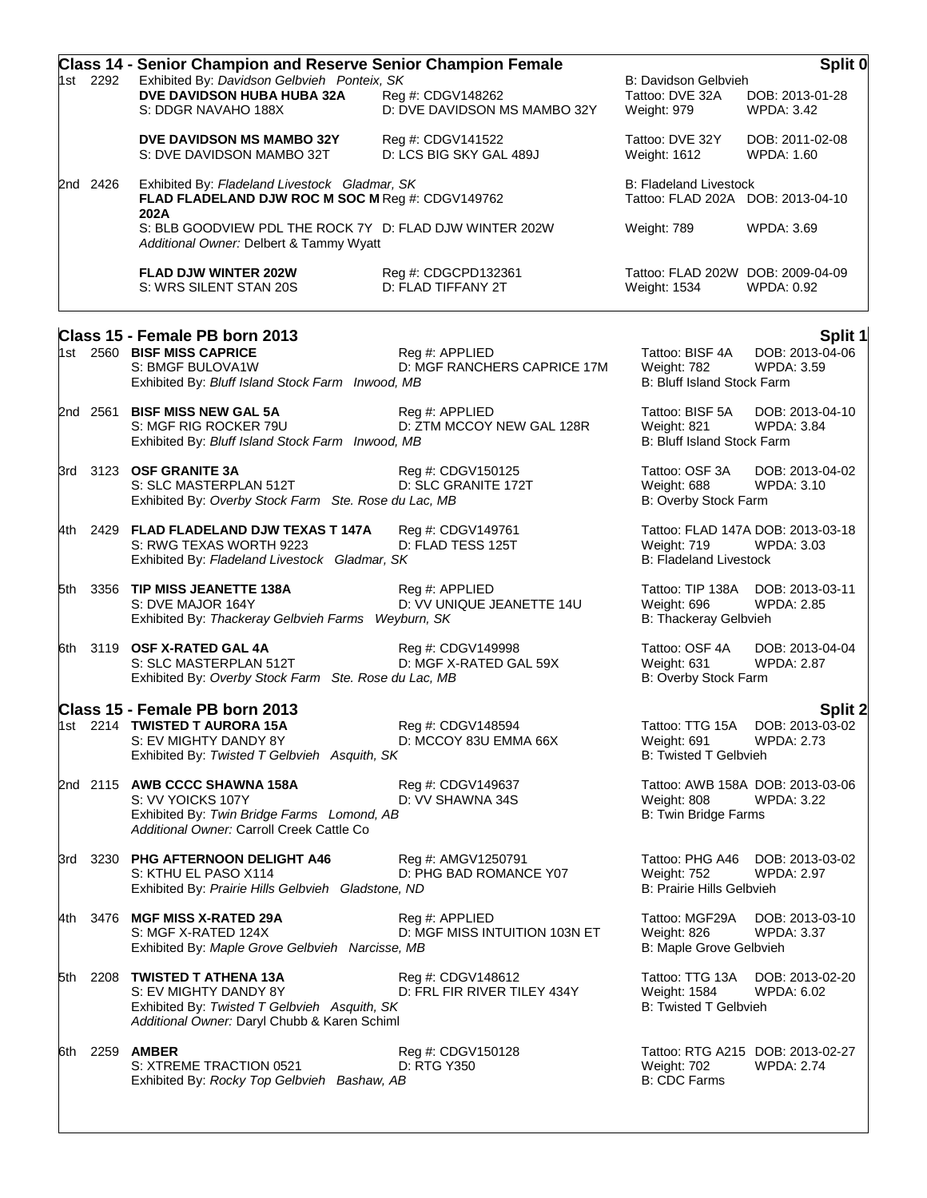|             | <b>Class 14 - Senior Champion and Reserve Senior Champion Female</b>                               |                              |                                   | Split 0           |
|-------------|----------------------------------------------------------------------------------------------------|------------------------------|-----------------------------------|-------------------|
| 1st 2292    | Exhibited By: Davidson Gelbvieh Ponteix, SK                                                        |                              | B: Davidson Gelbvieh              |                   |
|             | DVE DAVIDSON HUBA HUBA 32A                                                                         | Reg #: CDGV148262            | Tattoo: DVE 32A                   | DOB: 2013-01-28   |
|             | S: DDGR NAVAHO 188X                                                                                | D: DVE DAVIDSON MS MAMBO 32Y | Weight: 979                       | <b>WPDA: 3.42</b> |
|             | <b>DVE DAVIDSON MS MAMBO 32Y</b>                                                                   | Reg #: CDGV141522            | Tattoo: DVE 32Y                   | DOB: 2011-02-08   |
|             | S: DVE DAVIDSON MAMBO 32T                                                                          | D: LCS BIG SKY GAL 489J      | Weight: 1612                      | <b>WPDA: 1.60</b> |
| 2426<br>2nd | Exhibited By: Fladeland Livestock Gladmar, SK                                                      |                              | <b>B: Fladeland Livestock</b>     |                   |
|             | FLAD FLADELAND DJW ROC M SOC M Req #: CDGV149762<br>202A                                           |                              | Tattoo: FLAD 202A DOB: 2013-04-10 |                   |
|             | S: BLB GOODVIEW PDL THE ROCK 7Y D: FLAD DJW WINTER 202W<br>Additional Owner: Delbert & Tammy Wyatt |                              | Weight: 789                       | WPDA: 3.69        |
|             | <b>FLAD DJW WINTER 202W</b>                                                                        | Reg #: CDGCPD132361          | Tattoo: FLAD 202W DOB: 2009-04-09 |                   |
|             | S: WRS SILENT STAN 20S                                                                             | D: FLAD TIFFANY 2T           | <b>Weight: 1534</b>               | WPDA: 0.92        |
|             |                                                                                                    |                              |                                   |                   |

|     | Class 15 - Female PB born 2013                                                                                                                     |                                                  |                                                                 | Split 1                                                |
|-----|----------------------------------------------------------------------------------------------------------------------------------------------------|--------------------------------------------------|-----------------------------------------------------------------|--------------------------------------------------------|
|     | 1st 2560 BISF MISS CAPRICE<br>S: BMGF BULOVA1W<br>Exhibited By: Bluff Island Stock Farm Inwood, MB                                                 | Reg #: APPLIED<br>D: MGF RANCHERS CAPRICE 17M    | Tattoo: BISF 4A<br>Weight: 782<br>B: Bluff Island Stock Farm    | DOB: 2013-04-06<br><b>WPDA: 3.59</b>                   |
|     | 2nd 2561 BISF MISS NEW GAL 5A<br>S: MGF RIG ROCKER 79U<br>Exhibited By: Bluff Island Stock Farm Inwood, MB                                         | Reg #: APPLIED<br>D: ZTM MCCOY NEW GAL 128R      | Tattoo: BISF 5A<br>Weight: 821<br>B: Bluff Island Stock Farm    | DOB: 2013-04-10<br><b>WPDA: 3.84</b>                   |
|     | 3rd 3123 <b>OSF GRANITE 3A</b><br>S: SLC MASTERPLAN 512T<br>Exhibited By: Overby Stock Farm Ste. Rose du Lac, MB                                   | Reg #: CDGV150125<br>D: SLC GRANITE 172T         | Tattoo: OSF 3A<br>Weight: 688<br>B: Overby Stock Farm           | DOB: 2013-04-02<br><b>WPDA: 3.10</b>                   |
|     | 4th 2429 FLAD FLADELAND DJW TEXAS T 147A<br>S: RWG TEXAS WORTH 9223<br>Exhibited By: Fladeland Livestock Gladmar, SK                               | Reg #: CDGV149761<br>D: FLAD TESS 125T           | Weight: 719<br><b>B: Fladeland Livestock</b>                    | Tattoo: FLAD 147A DOB: 2013-03-18<br><b>WPDA: 3.03</b> |
|     | 5th 3356 TIP MISS JEANETTE 138A<br>S: DVE MAJOR 164Y<br>Exhibited By: Thackeray Gelbvieh Farms Weyburn, SK                                         | Reg #: APPLIED<br>D: VV UNIQUE JEANETTE 14U      | Weight: 696<br><b>B: Thackeray Gelbvieh</b>                     | Tattoo: TIP 138A DOB: 2013-03-11<br><b>WPDA: 2.85</b>  |
|     | 6th 3119 OSF X-RATED GAL 4A<br>S: SLC MASTERPLAN 512T<br>Exhibited By: Overby Stock Farm Ste. Rose du Lac, MB                                      | Reg #: CDGV149998<br>D: MGF X-RATED GAL 59X      | Tattoo: OSF 4A<br>Weight: 631<br>B: Overby Stock Farm           | DOB: 2013-04-04<br><b>WPDA: 2.87</b>                   |
|     | Class 15 - Female PB born 2013                                                                                                                     |                                                  |                                                                 | Split 2                                                |
|     | 1st 2214 TWISTED T AURORA 15A<br>S: EV MIGHTY DANDY 8Y<br>Exhibited By: Twisted T Gelbvieh Asquith, SK                                             | Reg #: CDGV148594<br>D: MCCOY 83U EMMA 66X       | Tattoo: TTG 15A<br>Weight: 691<br><b>B: Twisted T Gelbvieh</b>  | DOB: 2013-03-02<br><b>WPDA: 2.73</b>                   |
|     | 2nd 2115 AWB CCCC SHAWNA 158A<br>S: VV YOICKS 107Y<br>Exhibited By: Twin Bridge Farms Lomond, AB<br>Additional Owner: Carroll Creek Cattle Co      | Reg #: CDGV149637<br>D: VV SHAWNA 34S            | Weight: 808<br>B: Twin Bridge Farms                             | Tattoo: AWB 158A DOB: 2013-03-06<br><b>WPDA: 3.22</b>  |
|     | 3rd 3230 PHG AFTERNOON DELIGHT A46<br>S: KTHU EL PASO X114<br>Exhibited By: Prairie Hills Gelbvieh Gladstone, ND                                   | Reg #: AMGV1250791<br>D: PHG BAD ROMANCE Y07     | Weight: 752<br><b>B: Prairie Hills Gelbvieh</b>                 | Tattoo: PHG A46 DOB: 2013-03-02<br>WPDA: 2.97          |
| 4th | 3476 MGF MISS X-RATED 29A<br>S: MGF X-RATED 124X<br>Exhibited By: Maple Grove Gelbvieh Narcisse, MB                                                | Reg #: APPLIED<br>D: MGF MISS INTUITION 103N ET  | Tattoo: MGF29A<br>Weight: 826<br>B: Maple Grove Gelbvieh        | DOB: 2013-03-10<br><b>WPDA: 3.37</b>                   |
| 5th | 2208 TWISTED T ATHENA 13A<br>S: EV MIGHTY DANDY 8Y<br>Exhibited By: Twisted T Gelbvieh Asquith, SK<br>Additional Owner: Daryl Chubb & Karen Schiml | Reg #: CDGV148612<br>D: FRL FIR RIVER TILEY 434Y | Tattoo: TTG 13A<br>Weight: 1584<br><b>B: Twisted T Gelbvieh</b> | DOB: 2013-02-20<br>WPDA: 6.02                          |
|     | 6th 2259 <b>AMBER</b><br>S: XTREME TRACTION 0521<br>Exhibited By: Rocky Top Gelbvieh Bashaw, AB                                                    | Reg #: CDGV150128<br>D: RTG Y350                 | Weight: 702<br><b>B: CDC Farms</b>                              | Tattoo: RTG A215 DOB: 2013-02-27<br><b>WPDA: 2.74</b>  |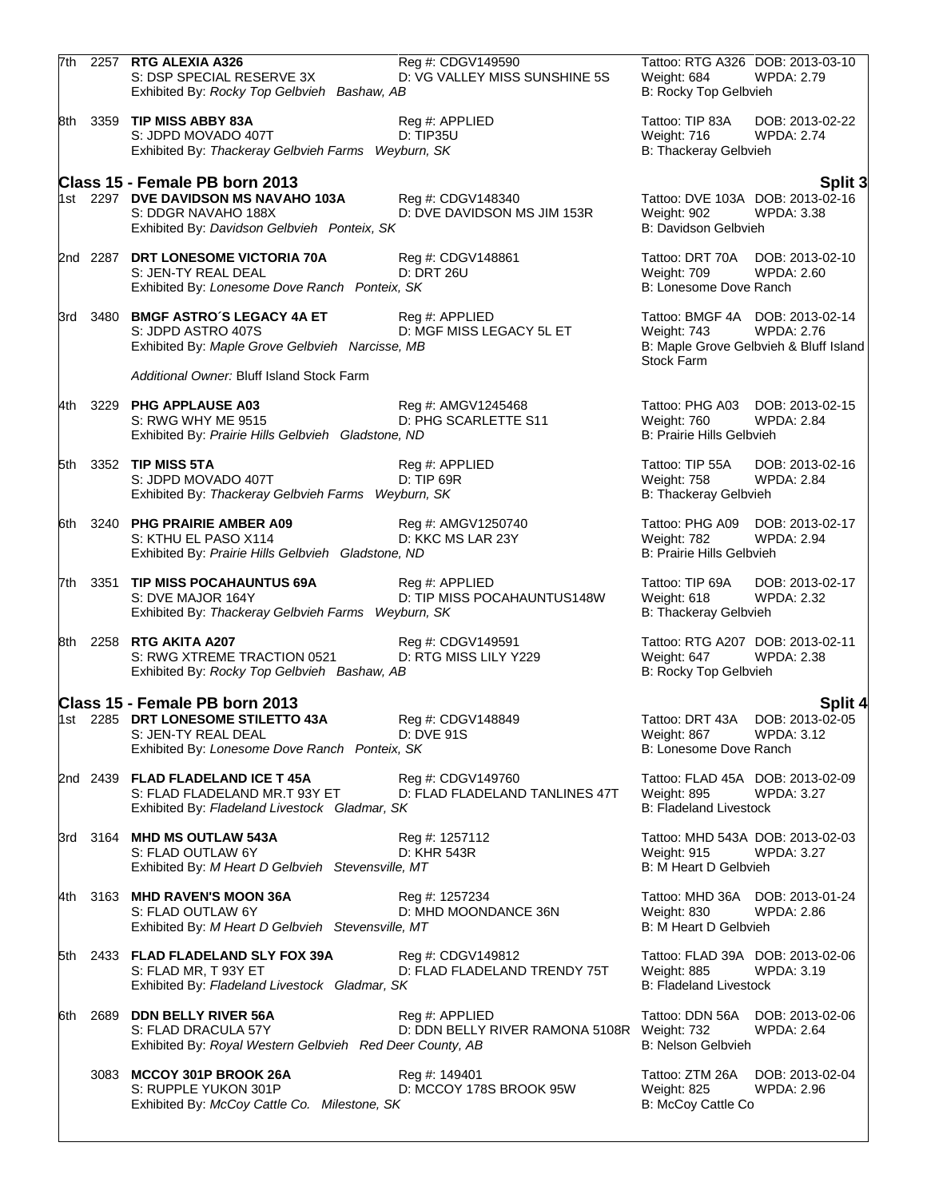|      |      | 7th 2257 RTG ALEXIA A326<br>S: DSP SPECIAL RESERVE 3X<br>Exhibited By: Rocky Top Gelbvieh Bashaw, AB                                                     | Reg #: CDGV149590<br>D: VG VALLEY MISS SUNSHINE 5S            | Weight: 684<br>B: Rocky Top Gelbvieh                        | Tattoo: RTG A326 DOB: 2013-03-10<br>WPDA: 2.79                                                 |
|------|------|----------------------------------------------------------------------------------------------------------------------------------------------------------|---------------------------------------------------------------|-------------------------------------------------------------|------------------------------------------------------------------------------------------------|
|      |      | 8th 3359 TIP MISS ABBY 83A<br>S: JDPD MOVADO 407T<br>Exhibited By: Thackeray Gelbvieh Farms Weyburn, SK                                                  | Reg #: APPLIED<br><b>D: TIP35U</b>                            | Tattoo: TIP 83A<br>Weight: 716<br>B: Thackeray Gelbvieh     | DOB: 2013-02-22<br><b>WPDA: 2.74</b>                                                           |
|      |      | Class 15 - Female PB born 2013                                                                                                                           |                                                               |                                                             | Split 3                                                                                        |
|      |      | 1st 2297 DVE DAVIDSON MS NAVAHO 103A<br>S: DDGR NAVAHO 188X<br>Exhibited By: Davidson Gelbvieh Ponteix, SK                                               | Reg #: CDGV148340<br>D: DVE DAVIDSON MS JIM 153R              | Weight: 902<br>B: Davidson Gelbvieh                         | Tattoo: DVE 103A DOB: 2013-02-16<br><b>WPDA: 3.38</b>                                          |
|      |      | 2nd 2287 DRT LONESOME VICTORIA 70A<br>S: JEN-TY REAL DEAL<br>Exhibited By: Lonesome Dove Ranch Ponteix, SK                                               | Reg #: CDGV148861<br><b>D: DRT 26U</b>                        | Weight: 709<br>B: Lonesome Dove Ranch                       | Tattoo: DRT 70A DOB: 2013-02-10<br><b>WPDA: 2.60</b>                                           |
|      |      | 3rd 3480 BMGF ASTRO'S LEGACY 4A ET<br>S: JDPD ASTRO 407S<br>Exhibited By: Maple Grove Gelbvieh Narcisse, MB<br>Additional Owner: Bluff Island Stock Farm | Reg #: APPLIED<br>D: MGF MISS LEGACY 5L ET                    | Weight: 743<br>Stock Farm                                   | Tattoo: BMGF 4A DOB: 2013-02-14<br><b>WPDA: 2.76</b><br>B: Maple Grove Gelbvieh & Bluff Island |
|      |      |                                                                                                                                                          |                                                               |                                                             |                                                                                                |
|      |      | 4th 3229 PHG APPLAUSE A03<br>S: RWG WHY ME 9515<br>Exhibited By: Prairie Hills Gelbvieh Gladstone, ND                                                    | Reg #: AMGV1245468<br>D: PHG SCARLETTE S11                    | Weight: 760<br><b>B: Prairie Hills Gelbvieh</b>             | Tattoo: PHG A03 DOB: 2013-02-15<br><b>WPDA: 2.84</b>                                           |
|      |      | 5th 3352 TIP MISS 5TA<br>S: JDPD MOVADO 407T<br>Exhibited By: Thackeray Gelbvieh Farms Weyburn, SK                                                       | Reg #: APPLIED<br>$D: TIP$ 69R                                | Tattoo: TIP 55A<br>Weight: 758<br>B: Thackeray Gelbvieh     | DOB: 2013-02-16<br><b>WPDA: 2.84</b>                                                           |
|      |      | 6th 3240 PHG PRAIRIE AMBER A09<br>S: KTHU EL PASO X114<br>Exhibited By: Prairie Hills Gelbvieh Gladstone, ND                                             | Reg #: AMGV1250740<br>D: KKC MS LAR 23Y                       | Tattoo: PHG A09<br>Weight: 782<br>B: Prairie Hills Gelbvieh | DOB: 2013-02-17<br><b>WPDA: 2.94</b>                                                           |
| 7th. | 3351 | TIP MISS POCAHAUNTUS 69A<br>S: DVE MAJOR 164Y<br>Exhibited By: Thackeray Gelbvieh Farms Weyburn, SK                                                      | Reg #: APPLIED<br>D: TIP MISS POCAHAUNTUS148W                 | Tattoo: TIP 69A<br>Weight: 618<br>B: Thackeray Gelbvieh     | DOB: 2013-02-17<br><b>WPDA: 2.32</b>                                                           |
|      |      | 8th 2258 RTG AKITA A207<br>S: RWG XTREME TRACTION 0521<br>Exhibited By: Rocky Top Gelbvieh Bashaw, AB                                                    | Reg #: CDGV149591<br>D: RTG MISS LILY Y229                    | Weight: 647<br>B: Rocky Top Gelbvieh                        | Tattoo: RTG A207 DOB: 2013-02-11<br><b>WPDA: 2.38</b>                                          |
|      |      | Class 15 - Female PB born 2013                                                                                                                           |                                                               |                                                             | <b>Split 4</b>                                                                                 |
|      |      | 1st 2285 DRT LONESOME STILETTO 43A<br>S: JEN-TY REAL DEAL<br>Exhibited By: Lonesome Dove Ranch Ponteix, SK                                               | Reg #: CDGV148849<br>D: DVE 91S                               | Tattoo: DRT 43A<br>Weight: 867<br>B: Lonesome Dove Ranch    | DOB: 2013-02-05<br>WPDA: 3.12                                                                  |
|      |      | 2nd 2439 FLAD FLADELAND ICE T 45A<br>S: FLAD FLADELAND MR.T 93Y ET<br>Exhibited By: Fladeland Livestock Gladmar, SK                                      | Reg #: CDGV149760<br>D: FLAD FLADELAND TANLINES 47T           | Weight: 895<br><b>B: Fladeland Livestock</b>                | Tattoo: FLAD 45A DOB: 2013-02-09<br>WPDA: 3.27                                                 |
|      |      | 3rd 3164 MHD MS OUTLAW 543A<br>S: FLAD OUTLAW 6Y<br>Exhibited By: M Heart D Gelbvieh Stevensville, MT                                                    | Reg #: 1257112<br>D: KHR 543R                                 | Weight: 915<br>B: M Heart D Gelbvieh                        | Tattoo: MHD 543A DOB: 2013-02-03<br><b>WPDA: 3.27</b>                                          |
|      |      | 4th 3163 MHD RAVEN'S MOON 36A<br>S: FLAD OUTLAW 6Y<br>Exhibited By: M Heart D Gelbvieh Stevensville, MT                                                  | Reg #: 1257234<br>D: MHD MOONDANCE 36N                        | Weight: 830<br>B: M Heart D Gelbvieh                        | Tattoo: MHD 36A DOB: 2013-01-24<br>WPDA: 2.86                                                  |
|      |      | 5th 2433 FLAD FLADELAND SLY FOX 39A<br>S: FLAD MR, T 93Y ET<br>Exhibited By: Fladeland Livestock Gladmar, SK                                             | Reg #: CDGV149812<br>D: FLAD FLADELAND TRENDY 75T             | Weight: 885<br><b>B: Fladeland Livestock</b>                | Tattoo: FLAD 39A DOB: 2013-02-06<br><b>WPDA: 3.19</b>                                          |
| 6th  |      | 2689 DDN BELLY RIVER 56A<br>S: FLAD DRACULA 57Y<br>Exhibited By: Royal Western Gelbvieh Red Deer County, AB                                              | Reg #: APPLIED<br>D: DDN BELLY RIVER RAMONA 5108R Weight: 732 | Tattoo: DDN 56A<br><b>B: Nelson Gelbvieh</b>                | DOB: 2013-02-06<br><b>WPDA: 2.64</b>                                                           |
|      |      | 3083 MCCOY 301P BROOK 26A<br>S: RUPPLE YUKON 301P<br>Exhibited By: McCoy Cattle Co. Milestone, SK                                                        | Reg #: 149401<br>D: MCCOY 178S BROOK 95W                      | Tattoo: ZTM 26A<br>Weight: 825<br>B: McCoy Cattle Co        | DOB: 2013-02-04<br>WPDA: 2.96                                                                  |
|      |      |                                                                                                                                                          |                                                               |                                                             |                                                                                                |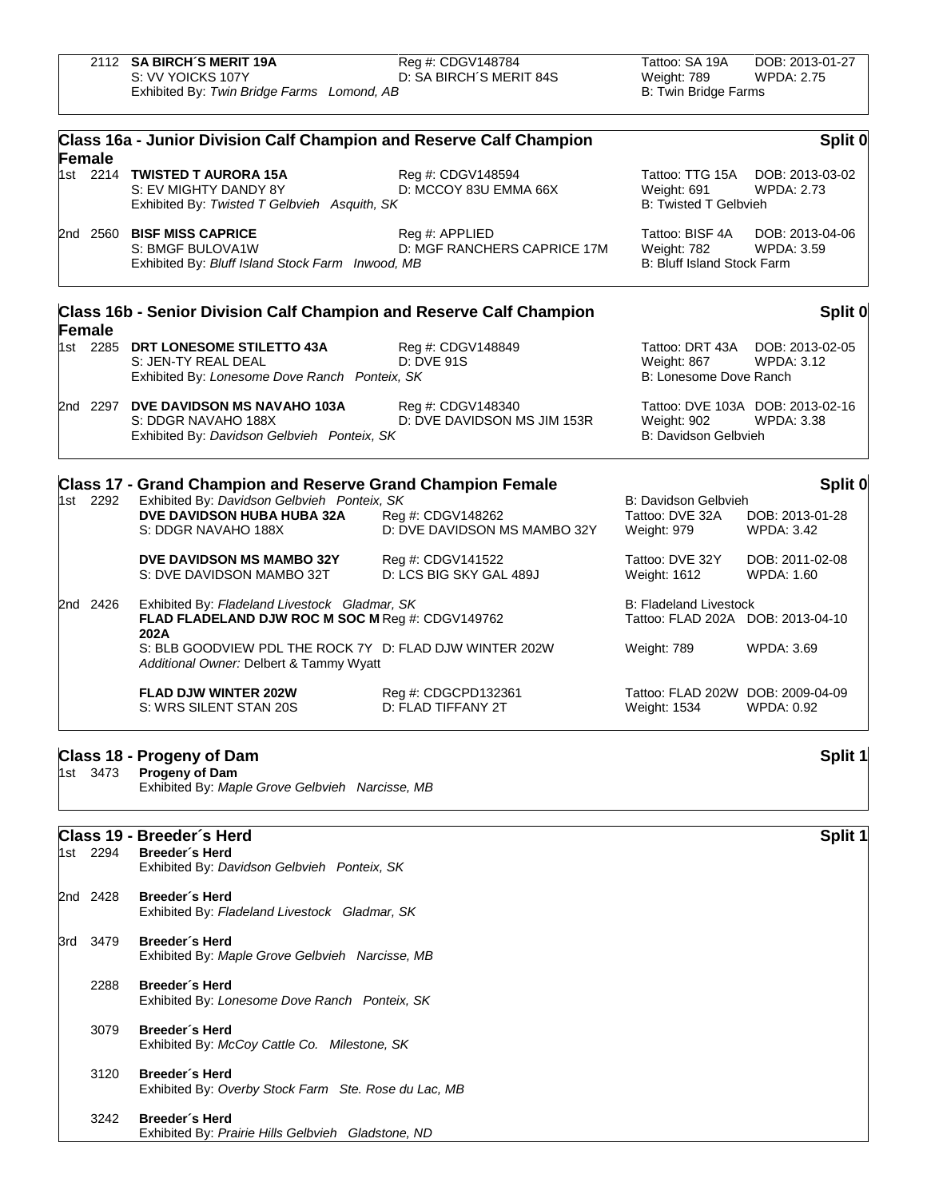| 2112 SA BIRCH'S MERIT 19A                  | Reg #: CDGV148784       | Tattoo: SA 19A       | DOB: 2013-01-27 |
|--------------------------------------------|-------------------------|----------------------|-----------------|
| S: VV YOICKS 107Y                          | D: SA BIRCH'S MERIT 84S | Weight: 789          | WPDA: 2.75      |
| Exhibited By: Twin Bridge Farms Lomond, AB |                         | B: Twin Bridge Farms |                 |

|               | Class 16a - Junior Division Calf Champion and Reserve Calf Champion                                        |                                                   |                                                                    | Split 0                                               |
|---------------|------------------------------------------------------------------------------------------------------------|---------------------------------------------------|--------------------------------------------------------------------|-------------------------------------------------------|
| <b>Female</b> | 1st 2214 TWISTED T AURORA 15A<br>S: EV MIGHTY DANDY 8Y<br>Exhibited By: Twisted T Gelbvieh Asquith, SK     | Reg #: CDGV148594<br>D: MCCOY 83U EMMA 66X        | Weight: 691<br><b>B: Twisted T Gelbvieh</b>                        | Tattoo: TTG 15A DOB: 2013-03-02<br><b>WPDA: 2.73</b>  |
|               | 2nd 2560 BISF MISS CAPRICE<br>S: BMGF BULOVA1W<br>Exhibited By: Bluff Island Stock Farm Inwood, MB         | Reg #: APPLIED<br>D: MGF RANCHERS CAPRICE 17M     | Tattoo: BISF 4A<br>Weight: 782<br>B: Bluff Island Stock Farm       | DOB: 2013-04-06<br><b>WPDA: 3.59</b>                  |
|               | Class 16b - Senior Division Calf Champion and Reserve Calf Champion                                        |                                                   |                                                                    | Split 0                                               |
| Female        | 1st 2285 DRT LONESOME STILETTO 43A<br>S: JEN-TY REAL DEAL<br>Exhibited By: Lonesome Dove Ranch Ponteix, SK | Reg #: CDGV148849<br><b>D: DVE 91S</b>            | Weight: 867<br>B: Lonesome Dove Ranch                              | Tattoo: DRT 43A DOB: 2013-02-05<br><b>WPDA: 3.12</b>  |
|               | 2nd 2297 DVE DAVIDSON MS NAVAHO 103A<br>S: DDGR NAVAHO 188X<br>Exhibited By: Davidson Gelbvieh Ponteix, SK | Reg #: CDGV148340<br>D: DVE DAVIDSON MS JIM 153R  | Weight: 902<br>B: Davidson Gelbvieh                                | Tattoo: DVE 103A DOB: 2013-02-16<br><b>WPDA: 3.38</b> |
|               | <b>Class 17 - Grand Champion and Reserve Grand Champion Female</b>                                         |                                                   |                                                                    | Split 0                                               |
| 1st 2292      | Exhibited By: Davidson Gelbvieh Ponteix, SK<br><b>DVE DAVIDSON HUBA HUBA 32A</b><br>S: DDGR NAVAHO 188X    | Reg #: CDGV148262<br>D: DVE DAVIDSON MS MAMBO 32Y | B: Davidson Gelbvieh<br>Tattoo: DVE 32A<br>Weight: 979             | DOB: 2013-01-28<br><b>WPDA: 3.42</b>                  |
|               | DVE DAVIDSON MS MAMBO 32Y<br>S: DVE DAVIDSON MAMBO 32T                                                     | Reg #: CDGV141522<br>D: LCS BIG SKY GAL 489J      | Tattoo: DVE 32Y<br><b>Weight: 1612</b>                             | DOB: 2011-02-08<br>WPDA: 1.60                         |
| 2nd 2426      | Exhibited By: Fladeland Livestock Gladmar, SK<br>FLAD FLADELAND DJW ROC M SOC M Reg #: CDGV149762<br>202A  |                                                   | <b>B: Fladeland Livestock</b><br>Tattoo: FLAD 202A DOB: 2013-04-10 |                                                       |
|               | S: BLB GOODVIEW PDL THE ROCK 7Y D: FLAD DJW WINTER 202W<br>Additional Owner: Delbert & Tammy Wyatt         |                                                   | Weight: 789                                                        | <b>WPDA: 3.69</b>                                     |
|               | <b>FLAD DJW WINTER 202W</b><br>S: WRS SILENT STAN 20S                                                      | Reg #: CDGCPD132361<br>D: FLAD TIFFANY 2T         | Tattoo: FLAD 202W DOB: 2009-04-09<br>Weight: 1534                  | <b>WPDA: 0.92</b>                                     |
|               | Class 18 - Progeny of Dam                                                                                  |                                                   |                                                                    | Split 1                                               |
| 1st 3473      | Progeny of Dam<br>Exhibited By: Maple Grove Gelbvieh Narcisse, MB                                          |                                                   |                                                                    |                                                       |
|               | Class 19 - Breeder's Herd                                                                                  |                                                   |                                                                    | Split 1                                               |
| 1st 2294      | Breeder's Herd<br>Exhibited By: Davidson Gelbvieh Ponteix, SK                                              |                                                   |                                                                    |                                                       |

2nd 2428 **Breeder´s Herd** Exhibited By: *Fladeland Livestock Gladmar, SK*

3rd 3479 **Breeder´s Herd** Exhibited By: *Maple Grove Gelbvieh Narcisse, MB*

2288 **Breeder´s Herd** Exhibited By: *Lonesome Dove Ranch Ponteix, SK*

3079 **Breeder´s Herd** Exhibited By: *McCoy Cattle Co. Milestone, SK*

3120 **Breeder´s Herd** Exhibited By: *Overby Stock Farm Ste. Rose du Lac, MB*

3242 **Breeder´s Herd** Exhibited By: *Prairie Hills Gelbvieh Gladstone, ND*